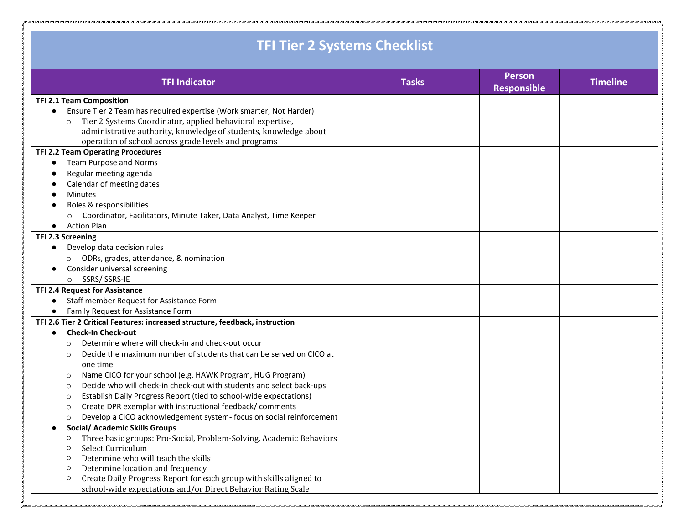| <b>TFI Tier 2 Systems Checklist</b>                                               |              |                                     |                 |  |  |
|-----------------------------------------------------------------------------------|--------------|-------------------------------------|-----------------|--|--|
| <b>TFI Indicator</b>                                                              | <b>Tasks</b> | <b>Person</b><br><b>Responsible</b> | <b>Timeline</b> |  |  |
| <b>TFI 2.1 Team Composition</b>                                                   |              |                                     |                 |  |  |
| Ensure Tier 2 Team has required expertise (Work smarter, Not Harder)<br>$\bullet$ |              |                                     |                 |  |  |
| Tier 2 Systems Coordinator, applied behavioral expertise,<br>$\circ$              |              |                                     |                 |  |  |
| administrative authority, knowledge of students, knowledge about                  |              |                                     |                 |  |  |
| operation of school across grade levels and programs                              |              |                                     |                 |  |  |
| TFI 2.2 Team Operating Procedures                                                 |              |                                     |                 |  |  |
| Team Purpose and Norms<br>$\bullet$                                               |              |                                     |                 |  |  |
| Regular meeting agenda                                                            |              |                                     |                 |  |  |
| Calendar of meeting dates                                                         |              |                                     |                 |  |  |
| <b>Minutes</b><br>Roles & responsibilities                                        |              |                                     |                 |  |  |
| Coordinator, Facilitators, Minute Taker, Data Analyst, Time Keeper                |              |                                     |                 |  |  |
| $\circ$<br><b>Action Plan</b><br>$\bullet$                                        |              |                                     |                 |  |  |
| TFI 2.3 Screening                                                                 |              |                                     |                 |  |  |
| Develop data decision rules<br>$\bullet$                                          |              |                                     |                 |  |  |
| O ODRs, grades, attendance, & nomination                                          |              |                                     |                 |  |  |
| Consider universal screening                                                      |              |                                     |                 |  |  |
| SSRS/SSRS-IE<br>$\circ$                                                           |              |                                     |                 |  |  |
| TFI 2.4 Request for Assistance                                                    |              |                                     |                 |  |  |
| Staff member Request for Assistance Form                                          |              |                                     |                 |  |  |
| Family Request for Assistance Form                                                |              |                                     |                 |  |  |
| TFI 2.6 Tier 2 Critical Features: increased structure, feedback, instruction      |              |                                     |                 |  |  |
| <b>Check-In Check-out</b>                                                         |              |                                     |                 |  |  |
| Determine where will check-in and check-out occur<br>$\circ$                      |              |                                     |                 |  |  |
| Decide the maximum number of students that can be served on CICO at<br>$\Omega$   |              |                                     |                 |  |  |
| one time                                                                          |              |                                     |                 |  |  |
| Name CICO for your school (e.g. HAWK Program, HUG Program)<br>$\circ$             |              |                                     |                 |  |  |
| Decide who will check-in check-out with students and select back-ups<br>$\circ$   |              |                                     |                 |  |  |
| Establish Daily Progress Report (tied to school-wide expectations)<br>$\circ$     |              |                                     |                 |  |  |
| Create DPR exemplar with instructional feedback/ comments<br>$\circ$              |              |                                     |                 |  |  |
| Develop a CICO acknowledgement system- focus on social reinforcement<br>$\circ$   |              |                                     |                 |  |  |
| <b>Social/ Academic Skills Groups</b>                                             |              |                                     |                 |  |  |
| Three basic groups: Pro-Social, Problem-Solving, Academic Behaviors<br>$\circ$    |              |                                     |                 |  |  |
| Select Curriculum<br>$\circ$                                                      |              |                                     |                 |  |  |
| Determine who will teach the skills<br>$\circ$                                    |              |                                     |                 |  |  |
| Determine location and frequency<br>$\circ$                                       |              |                                     |                 |  |  |
| Create Daily Progress Report for each group with skills aligned to<br>$\circ$     |              |                                     |                 |  |  |
| school-wide expectations and/or Direct Behavior Rating Scale                      |              |                                     |                 |  |  |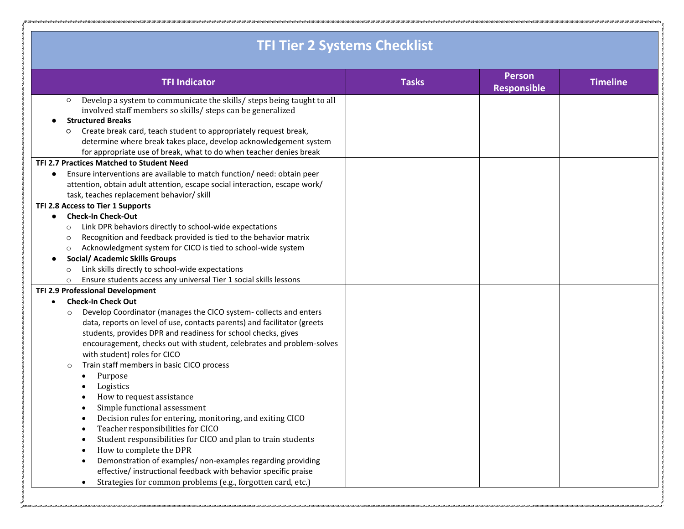| <b>TFI Tier 2 Systems Checklist</b>                                                                                                                                                                                                                                                                                                                                                                                                                                                                                                                                                                                                                                                                                                                                                                                                                                                                                                            |              |                                     |                 |  |  |
|------------------------------------------------------------------------------------------------------------------------------------------------------------------------------------------------------------------------------------------------------------------------------------------------------------------------------------------------------------------------------------------------------------------------------------------------------------------------------------------------------------------------------------------------------------------------------------------------------------------------------------------------------------------------------------------------------------------------------------------------------------------------------------------------------------------------------------------------------------------------------------------------------------------------------------------------|--------------|-------------------------------------|-----------------|--|--|
| <b>TFI Indicator</b>                                                                                                                                                                                                                                                                                                                                                                                                                                                                                                                                                                                                                                                                                                                                                                                                                                                                                                                           | <b>Tasks</b> | <b>Person</b><br><b>Responsible</b> | <b>Timeline</b> |  |  |
| Develop a system to communicate the skills/ steps being taught to all<br>$\circ$<br>involved staff members so skills/ steps can be generalized<br><b>Structured Breaks</b><br>Create break card, teach student to appropriately request break,<br>O<br>determine where break takes place, develop acknowledgement system<br>for appropriate use of break, what to do when teacher denies break<br>TFI 2.7 Practices Matched to Student Need                                                                                                                                                                                                                                                                                                                                                                                                                                                                                                    |              |                                     |                 |  |  |
| Ensure interventions are available to match function/ need: obtain peer<br>$\bullet$<br>attention, obtain adult attention, escape social interaction, escape work/<br>task, teaches replacement behavior/ skill                                                                                                                                                                                                                                                                                                                                                                                                                                                                                                                                                                                                                                                                                                                                |              |                                     |                 |  |  |
| TFI 2.8 Access to Tier 1 Supports<br><b>Check-In Check-Out</b><br>Link DPR behaviors directly to school-wide expectations<br>O<br>Recognition and feedback provided is tied to the behavior matrix<br>$\circ$<br>Acknowledgment system for CICO is tied to school-wide system<br>$\circ$<br><b>Social/ Academic Skills Groups</b><br>Link skills directly to school-wide expectations<br>O<br>Ensure students access any universal Tier 1 social skills lessons<br>O                                                                                                                                                                                                                                                                                                                                                                                                                                                                           |              |                                     |                 |  |  |
| TFI 2.9 Professional Development<br><b>Check-In Check Out</b><br>$\bullet$<br>Develop Coordinator (manages the CICO system-collects and enters<br>O<br>data, reports on level of use, contacts parents) and facilitator (greets<br>students, provides DPR and readiness for school checks, gives<br>encouragement, checks out with student, celebrates and problem-solves<br>with student) roles for CICO<br>Train staff members in basic CICO process<br>O<br>Purpose<br>Logistics<br>How to request assistance<br>Simple functional assessment<br>Decision rules for entering, monitoring, and exiting CICO<br>Teacher responsibilities for CICO<br>Student responsibilities for CICO and plan to train students<br>How to complete the DPR<br>Demonstration of examples/ non-examples regarding providing<br>effective/ instructional feedback with behavior specific praise<br>Strategies for common problems (e.g., forgotten card, etc.) |              |                                     |                 |  |  |

Ĵ,